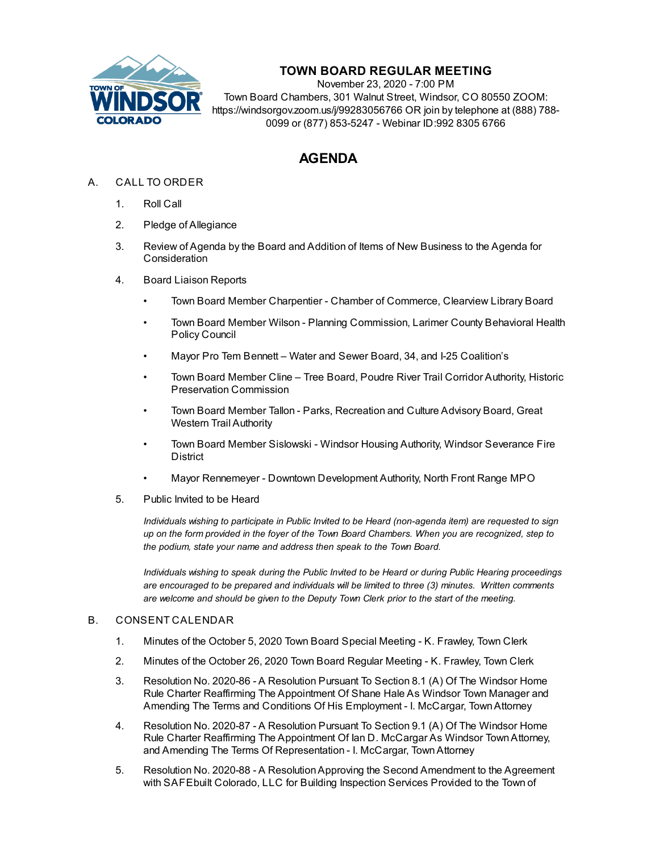

# **TOWN BOARD REGULAR MEETING**

November 23, 2020 - 7:00 PM Town Board Chambers, 301 Walnut Street, Windsor, CO 80550 ZOOM: https://windsorgov.zoom.us/j/99283056766 OR join by telephone at (888) 788- 0099 or (877) 853-5247 - Webinar ID:992 8305 6766

# **AGENDA**

- A. CALL TO ORDER
	- 1. Roll Call
	- 2. Pledge of Allegiance
	- 3. Review of Agenda by the Board and Addition of Items of New Business to the Agenda for **Consideration**
	- 4. Board Liaison Reports
		- Town Board Member Charpentier Chamber of Commerce, Clearview Library Board
		- Town Board Member Wilson Planning Commission, Larimer County Behavioral Health Policy Council
		- Mayor Pro Tem Bennett Water and Sewer Board, 34, and I-25 Coalition's
		- Town Board Member Cline Tree Board, Poudre River Trail Corridor Authority, Historic Preservation Commission
		- Town Board Member Tallon Parks, Recreation and Culture Advisory Board, Great Western Trail Authority
		- Town Board Member Sislowski Windsor Housing Authority, Windsor Severance Fire District
		- Mayor Rennemeyer Downtown Development Authority, North Front Range MPO
	- 5. Public Invited to be Heard

*Individuals wishing to participate in Public Invited to be Heard (non-agenda item) are requested to sign* up on the form provided in the foyer of the Town Board Chambers. When you are recognized, step to *the podium, state your name and address then speak to the Town Board.*

*Individuals wishing to speak during the Public Invited to be Heard or during Public Hearing proceedings are encouraged to be prepared and individuals will be limited to three (3) minutes. Written comments are welcome and should be given to the Deputy Town Clerk prior to the start of the meeting.*

#### B. CONSENT CALENDAR

- 1. Minutes of the October 5, 2020 Town Board Special Meeting K. [Frawley,](file:///C:/Windows/TEMP/CoverSheet.aspx?ItemID=1152&MeetingID=142) Town Clerk
- 2. Minutes of the October 26, 2020 Town Board Regular Meeting K. [Frawley,](file:///C:/Windows/TEMP/CoverSheet.aspx?ItemID=1153&MeetingID=142) Town Clerk
- 3. Resolution No. 2020-86 A Resolution Pursuant To Section 8.1 (A) Of The Windsor Home Rule Charter Reaffirming The [Appointment](file:///C:/Windows/TEMP/CoverSheet.aspx?ItemID=1140&MeetingID=142) Of Shane Hale As Windsor Town Manager and Amending The Terms and Conditions Of His Employment - I. McCargar, TownAttorney
- 4. Resolution No. 2020-87 A Resolution Pursuant To Section 9.1 (A) Of The Windsor Home Rule Charter Reaffirming The Appointment Of Ian D. McCargar As Windsor [TownAttorney,](file:///C:/Windows/TEMP/CoverSheet.aspx?ItemID=1141&MeetingID=142) and Amending The Terms Of Representation - I. McCargar, TownAttorney
- 5. Resolution No. 2020-88 A [ResolutionApproving](file:///C:/Windows/TEMP/CoverSheet.aspx?ItemID=1142&MeetingID=142) the Second Amendment to the Agreement with SAFEbuilt Colorado, LLC for Building Inspection Services Provided to the Town of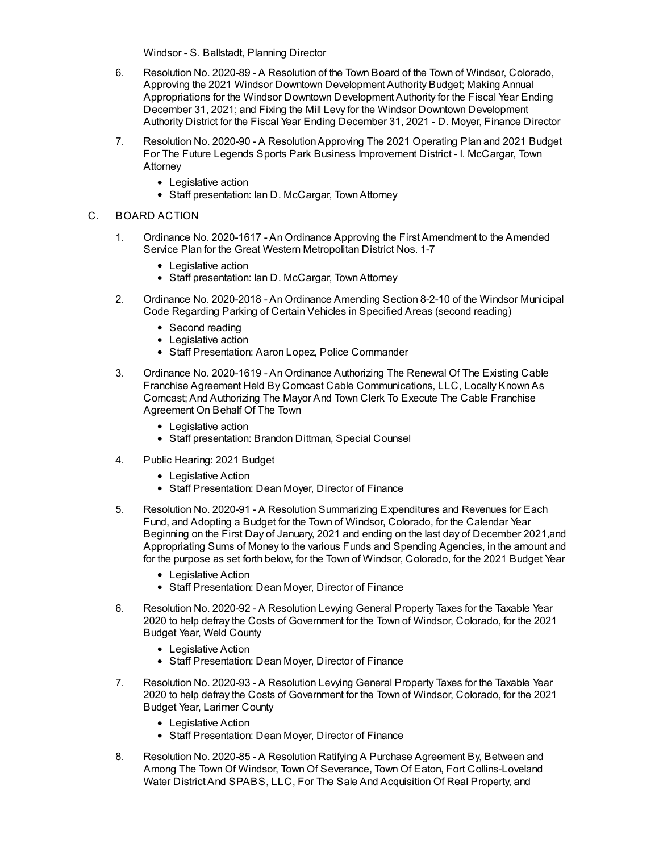Windsor - S. Ballstadt, Planning Director

- 6. Resolution No. 2020-89 A Resolution of the Town Board of the Town of Windsor, Colorado, Approving the 2021 Windsor Downtown Development Authority Budget; Making Annual [Appropriations](file:///C:/Windows/TEMP/CoverSheet.aspx?ItemID=1148&MeetingID=142) for the Windsor Downtown Development Authority for the Fiscal Year Ending December 31, 2021; and Fixing the Mill Levy for the Windsor Downtown Development Authority District for the Fiscal Year Ending December 31, 2021 - D. Moyer, Finance Director
- 7. Resolution No. 2020-90 A [ResolutionApproving](file:///C:/Windows/TEMP/CoverSheet.aspx?ItemID=1149&MeetingID=142) The 2021 Operating Plan and 2021 Budget For The Future Legends Sports Park Business Improvement District - I. McCargar, Town Attorney
	- Legislative action
	- Staff presentation: Ian D. McCargar, Town Attorney

## C. BOARD ACTION

- 1. Ordinance No. 2020-1617 An Ordinance Approving the First [Amendment](file:///C:/Windows/TEMP/CoverSheet.aspx?ItemID=1136&MeetingID=142) to the Amended Service Plan for the Great Western Metropolitan District Nos. 1-7
	- Legislative action
	- Staff presentation: Ian D. McCargar, Town Attorney
- 2. Ordinance No. [2020-2018](file:///C:/Windows/TEMP/CoverSheet.aspx?ItemID=1139&MeetingID=142) An Ordinance Amending Section 8-2-10 of the Windsor Municipal Code Regarding Parking of Certain Vehicles in Specified Areas (second reading)
	- Second reading
	- Legislative action
	- Staff Presentation: Aaron Lopez, Police Commander
- 3. Ordinance No. 2020-1619 An Ordinance Authorizing The Renewal Of The Existing Cable Franchise Agreement Held By Comcast Cable [Communications,](file:///C:/Windows/TEMP/CoverSheet.aspx?ItemID=1134&MeetingID=142) LLC, Locally KnownAs Comcast; And Authorizing The Mayor And Town Clerk To Execute The Cable Franchise Agreement On Behalf Of The Town
	- Legislative action
	- Staff presentation: Brandon Dittman, Special Counsel
- 4. Public [Hearing:](file:///C:/Windows/TEMP/CoverSheet.aspx?ItemID=1144&MeetingID=142) 2021 Budget
	- Legislative Action
	- Staff Presentation: Dean Moyer, Director of Finance
- 5. Resolution No. 2020-91 A Resolution Summarizing Expenditures and Revenues for Each Fund, and Adopting a Budget for the Town of Windsor, Colorado, for the Calendar Year Beginning on the First Day of January, 2021 and ending on the last day of December 2021,and [Appropriating](file:///C:/Windows/TEMP/CoverSheet.aspx?ItemID=1145&MeetingID=142) Sums of Money to the various Funds and Spending Agencies, in the amount and for the purpose as set forth below, for the Town of Windsor, Colorado, for the 2021 Budget Year
	- Legislative Action
	- Staff Presentation: Dean Moyer, Director of Finance
- 6. Resolution No. 2020-92 A Resolution Levying General Property Taxes for the Taxable Year 2020 to help defray the Costs of [Government](file:///C:/Windows/TEMP/CoverSheet.aspx?ItemID=1146&MeetingID=142) for the Town of Windsor, Colorado, for the 2021 Budget Year, Weld County
	- Legislative Action
	- Staff Presentation: Dean Moyer, Director of Finance
- 7. Resolution No. 2020-93 A Resolution Levying General Property Taxes for the Taxable Year 2020 to help defray the Costs of [Government](file:///C:/Windows/TEMP/CoverSheet.aspx?ItemID=1147&MeetingID=142) for the Town of Windsor, Colorado, for the 2021 Budget Year, Larimer County
	- Legislative Action
	- Staff Presentation: Dean Moyer, Director of Finance
- 8. Resolution No. 2020-85 A Resolution Ratifying A Purchase Agreement By, Between and Among The Town Of Windsor, Town Of Severance, Town Of Eaton, Fort [Collins-Loveland](file:///C:/Windows/TEMP/CoverSheet.aspx?ItemID=1137&MeetingID=142) Water District And SPABS, LLC, For The Sale And Acquisition Of Real Property, and